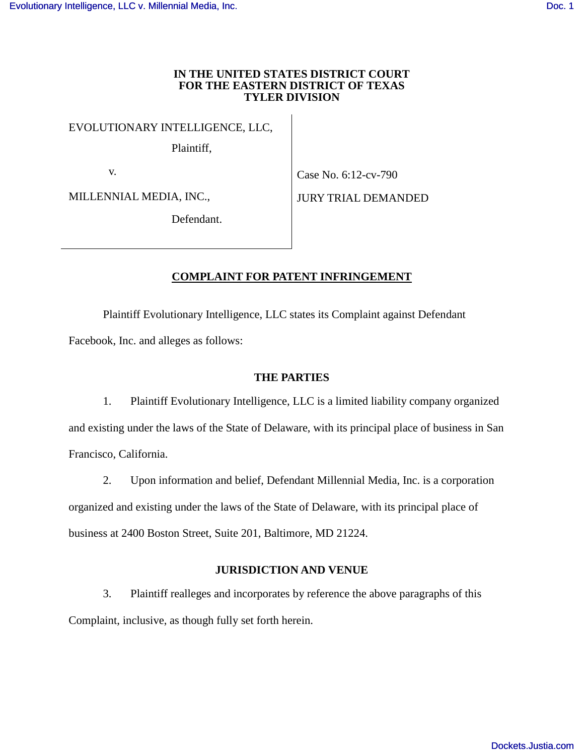#### **IN THE UNITED STATES DISTRICT COURT FOR THE EASTERN DISTRICT OF TEXAS TYLER DIVISION**

EVOLUTIONARY INTELLIGENCE, LLC,

Plaintiff,

v.

Case No. 6:12-cv-790

MILLENNIAL MEDIA, INC.,

JURY TRIAL DEMANDED

Defendant.

# **COMPLAINT FOR PATENT INFRINGEMENT**

Plaintiff Evolutionary Intelligence, LLC states its Complaint against Defendant Facebook, Inc. and alleges as follows:

## **THE PARTIES**

1. Plaintiff Evolutionary Intelligence, LLC is a limited liability company organized and existing under the laws of the State of Delaware, with its principal place of business in San Francisco, California.

2. Upon information and belief, Defendant Millennial Media, Inc. is a corporation organized and existing under the laws of the State of Delaware, with its principal place of business at 2400 Boston Street, Suite 201, Baltimore, MD 21224.

### **JURISDICTION AND VENUE**

3. Plaintiff realleges and incorporates by reference the above paragraphs of this Complaint, inclusive, as though fully set forth herein.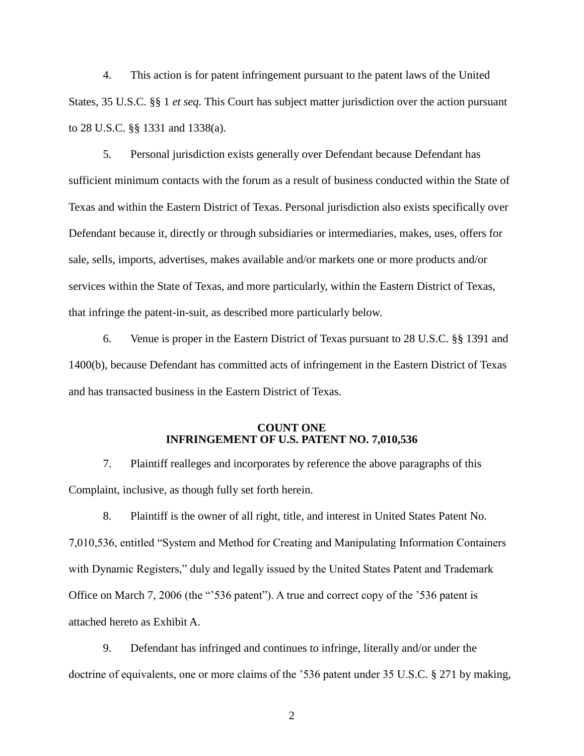4. This action is for patent infringement pursuant to the patent laws of the United States, 35 U.S.C. §§ 1 *et seq.* This Court has subject matter jurisdiction over the action pursuant to 28 U.S.C. §§ 1331 and 1338(a).

5. Personal jurisdiction exists generally over Defendant because Defendant has sufficient minimum contacts with the forum as a result of business conducted within the State of Texas and within the Eastern District of Texas. Personal jurisdiction also exists specifically over Defendant because it, directly or through subsidiaries or intermediaries, makes, uses, offers for sale, sells, imports, advertises, makes available and/or markets one or more products and/or services within the State of Texas, and more particularly, within the Eastern District of Texas, that infringe the patent-in-suit, as described more particularly below.

6. Venue is proper in the Eastern District of Texas pursuant to 28 U.S.C. §§ 1391 and 1400(b), because Defendant has committed acts of infringement in the Eastern District of Texas and has transacted business in the Eastern District of Texas.

### **COUNT ONE INFRINGEMENT OF U.S. PATENT NO. 7,010,536**

7. Plaintiff realleges and incorporates by reference the above paragraphs of this Complaint, inclusive, as though fully set forth herein.

8. Plaintiff is the owner of all right, title, and interest in United States Patent No. 7,010,536, entitled "System and Method for Creating and Manipulating Information Containers with Dynamic Registers," duly and legally issued by the United States Patent and Trademark Office on March 7, 2006 (the "'536 patent"). A true and correct copy of the '536 patent is attached hereto as Exhibit A.

9. Defendant has infringed and continues to infringe, literally and/or under the doctrine of equivalents, one or more claims of the '536 patent under 35 U.S.C. § 271 by making,

2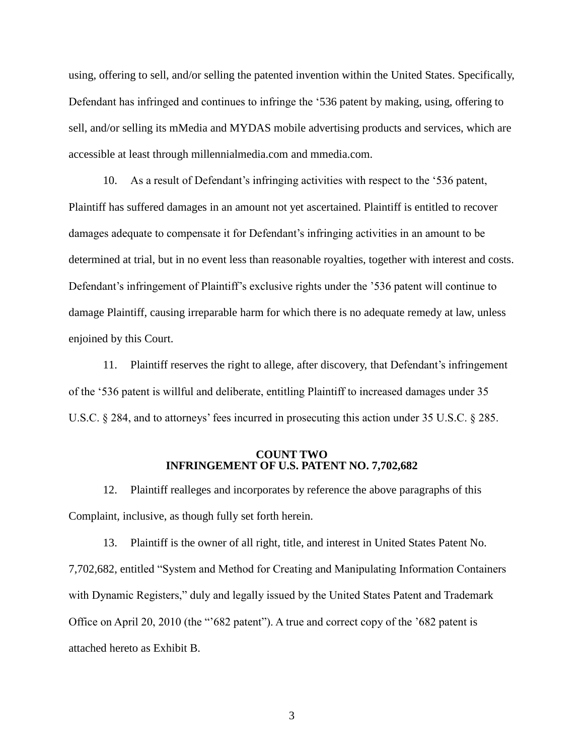using, offering to sell, and/or selling the patented invention within the United States. Specifically, Defendant has infringed and continues to infringe the '536 patent by making, using, offering to sell, and/or selling its mMedia and MYDAS mobile advertising products and services, which are accessible at least through millennialmedia.com and mmedia.com.

10. As a result of Defendant's infringing activities with respect to the '536 patent, Plaintiff has suffered damages in an amount not yet ascertained. Plaintiff is entitled to recover damages adequate to compensate it for Defendant's infringing activities in an amount to be determined at trial, but in no event less than reasonable royalties, together with interest and costs. Defendant's infringement of Plaintiff's exclusive rights under the '536 patent will continue to damage Plaintiff, causing irreparable harm for which there is no adequate remedy at law, unless enjoined by this Court.

11. Plaintiff reserves the right to allege, after discovery, that Defendant's infringement of the '536 patent is willful and deliberate, entitling Plaintiff to increased damages under 35 U.S.C. § 284, and to attorneys' fees incurred in prosecuting this action under 35 U.S.C. § 285.

#### **COUNT TWO INFRINGEMENT OF U.S. PATENT NO. 7,702,682**

12. Plaintiff realleges and incorporates by reference the above paragraphs of this Complaint, inclusive, as though fully set forth herein.

13. Plaintiff is the owner of all right, title, and interest in United States Patent No. 7,702,682, entitled "System and Method for Creating and Manipulating Information Containers with Dynamic Registers," duly and legally issued by the United States Patent and Trademark Office on April 20, 2010 (the "'682 patent"). A true and correct copy of the '682 patent is attached hereto as Exhibit B.

3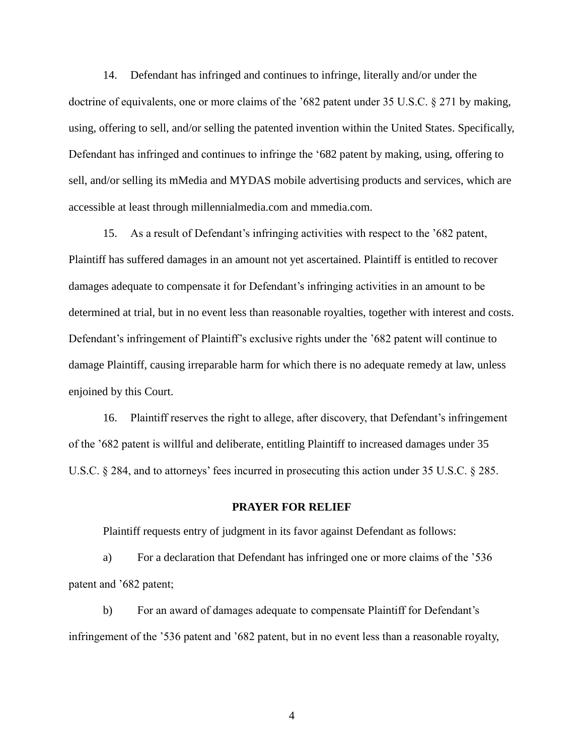14. Defendant has infringed and continues to infringe, literally and/or under the doctrine of equivalents, one or more claims of the '682 patent under 35 U.S.C. § 271 by making, using, offering to sell, and/or selling the patented invention within the United States. Specifically, Defendant has infringed and continues to infringe the '682 patent by making, using, offering to sell, and/or selling its mMedia and MYDAS mobile advertising products and services, which are accessible at least through millennialmedia.com and mmedia.com.

15. As a result of Defendant's infringing activities with respect to the '682 patent, Plaintiff has suffered damages in an amount not yet ascertained. Plaintiff is entitled to recover damages adequate to compensate it for Defendant's infringing activities in an amount to be determined at trial, but in no event less than reasonable royalties, together with interest and costs. Defendant's infringement of Plaintiff's exclusive rights under the '682 patent will continue to damage Plaintiff, causing irreparable harm for which there is no adequate remedy at law, unless enjoined by this Court.

16. Plaintiff reserves the right to allege, after discovery, that Defendant's infringement of the '682 patent is willful and deliberate, entitling Plaintiff to increased damages under 35 U.S.C. § 284, and to attorneys' fees incurred in prosecuting this action under 35 U.S.C. § 285.

#### **PRAYER FOR RELIEF**

Plaintiff requests entry of judgment in its favor against Defendant as follows:

a) For a declaration that Defendant has infringed one or more claims of the '536 patent and '682 patent;

b) For an award of damages adequate to compensate Plaintiff for Defendant's infringement of the '536 patent and '682 patent, but in no event less than a reasonable royalty,

4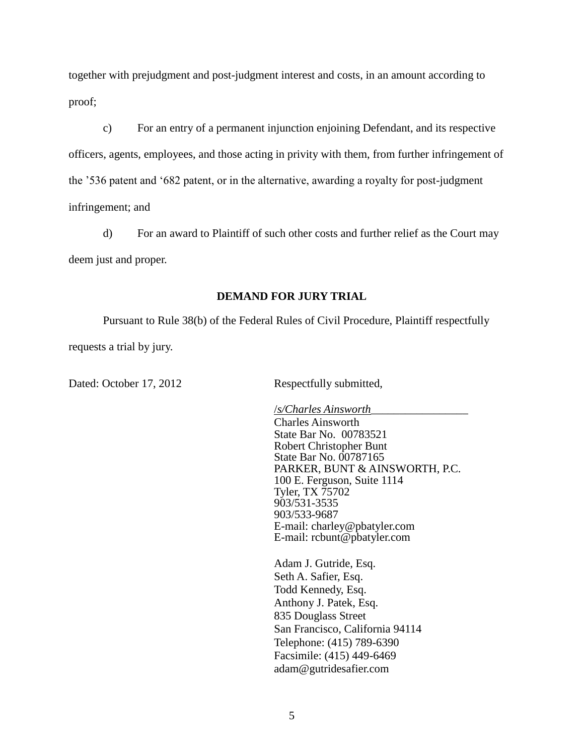together with prejudgment and post-judgment interest and costs, in an amount according to proof;

c) For an entry of a permanent injunction enjoining Defendant, and its respective officers, agents, employees, and those acting in privity with them, from further infringement of the '536 patent and '682 patent, or in the alternative, awarding a royalty for post-judgment infringement; and

d) For an award to Plaintiff of such other costs and further relief as the Court may deem just and proper.

## **DEMAND FOR JURY TRIAL**

Pursuant to Rule 38(b) of the Federal Rules of Civil Procedure, Plaintiff respectfully requests a trial by jury.

Dated: October 17, 2012 Respectfully submitted,

/*s/Charles Ainsworth\_\_\_\_\_\_\_\_\_\_\_\_\_\_\_\_\_* Charles Ainsworth State Bar No. 00783521 Robert Christopher Bunt State Bar No. 00787165 PARKER, BUNT & AINSWORTH, P.C. 100 E. Ferguson, Suite 1114 Tyler, TX 75702 903/531-3535 903/533-9687 E-mail: charley@pbatyler.com E-mail: rcbunt@pbatyler.com

Adam J. Gutride, Esq. Seth A. Safier, Esq. Todd Kennedy, Esq. Anthony J. Patek, Esq. 835 Douglass Street San Francisco, California 94114 Telephone: (415) 789-6390 Facsimile: (415) 449-6469 adam@gutridesafier.com